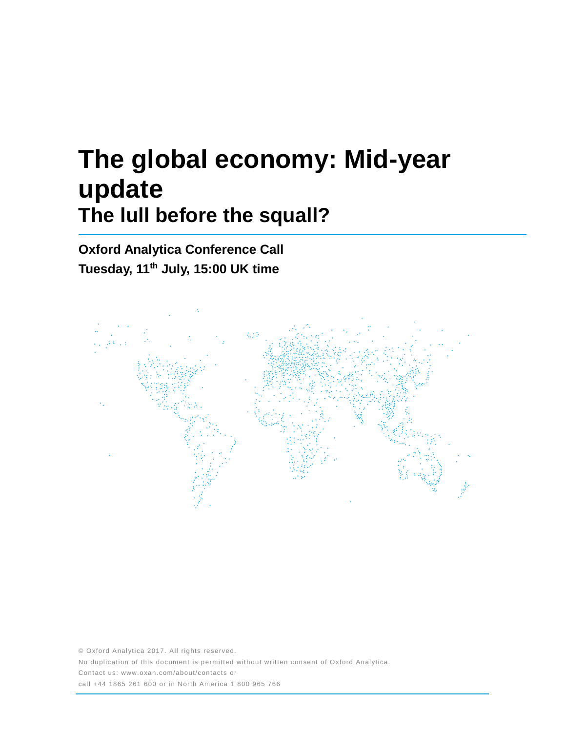# **The global economy: Mid-year update The lull before the squall?**

**Oxford Analytica Conference Call Tuesday, 11 th July, 15:00 UK time**



© Oxford Analytica 2017. All rights reserved. No duplication of this document is permitted without written consent of Oxford Analytica. Contact us: www.oxan.com/about/contacts or call +44 1865 261 600 or in North America 1 800 965 766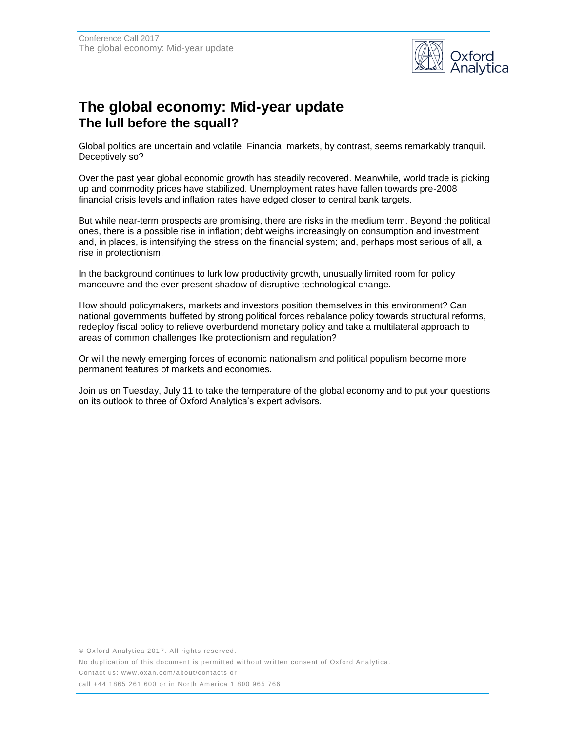

## **The global economy: Mid-year update The lull before the squall?**

Global politics are uncertain and volatile. Financial markets, by contrast, seems remarkably tranquil. Deceptively so?

Over the past year global economic growth has steadily recovered. Meanwhile, world trade is picking up and commodity prices have stabilized. Unemployment rates have fallen towards pre-2008 financial crisis levels and inflation rates have edged closer to central bank targets.

But while near-term prospects are promising, there are risks in the medium term. Beyond the political ones, there is a possible rise in inflation; debt weighs increasingly on consumption and investment and, in places, is intensifying the stress on the financial system; and, perhaps most serious of all, a rise in protectionism.

In the background continues to lurk low productivity growth, unusually limited room for policy manoeuvre and the ever-present shadow of disruptive technological change.

How should policymakers, markets and investors position themselves in this environment? Can national governments buffeted by strong political forces rebalance policy towards structural reforms, redeploy fiscal policy to relieve overburdend monetary policy and take a multilateral approach to areas of common challenges like protectionism and regulation?

Or will the newly emerging forces of economic nationalism and political populism become more permanent features of markets and economies.

Join us on Tuesday, July 11 to take the temperature of the global economy and to put your questions on its outlook to three of Oxford Analytica's expert advisors.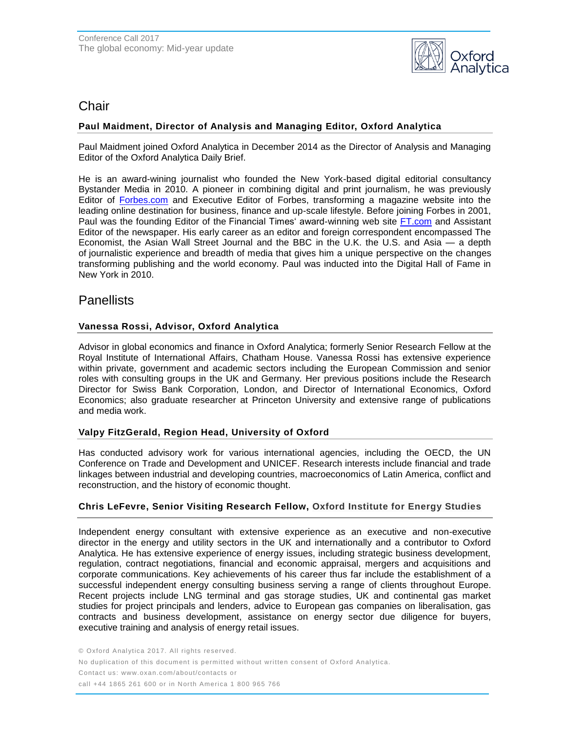

## **Chair**

## **Paul Maidment, Director of Analysis and Managing Editor, Oxford Analytica**

Paul Maidment joined Oxford Analytica in December 2014 as the Director of Analysis and Managing Editor of the Oxford Analytica Daily Brief.

He is an award-wining journalist who founded the New York-based digital editorial consultancy Bystander Media in 2010. A pioneer in combining digital and print journalism, he was previously Editor of [Forbes.com](http://forbes.com/) and Executive Editor of Forbes, transforming a magazine website into the leading online destination for business, finance and up-scale lifestyle. Before joining Forbes in 2001, Paul was the founding Editor of the Financial Times' award-winning web site [FT.com](http://ft.com/) and Assistant Editor of the newspaper. His early career as an editor and foreign correspondent encompassed The Economist, the Asian Wall Street Journal and the BBC in the U.K. the U.S. and Asia — a depth of journalistic experience and breadth of media that gives him a unique perspective on the changes transforming publishing and the world economy. Paul was inducted into the Digital Hall of Fame in New York in 2010.

## **Panellists**

### **Vanessa Rossi, Advisor, Oxford Analytica**

Advisor in global economics and finance in Oxford Analytica; formerly Senior Research Fellow at the Royal Institute of International Affairs, Chatham House. Vanessa Rossi has extensive experience within private, government and academic sectors including the European Commission and senior roles with consulting groups in the UK and Germany. Her previous positions include the Research Director for Swiss Bank Corporation, London, and Director of International Economics, Oxford Economics; also graduate researcher at Princeton University and extensive range of publications and media work.

### **Valpy FitzGerald, Region Head, University of Oxford**

Has conducted advisory work for various international agencies, including the OECD, the UN Conference on Trade and Development and UNICEF. Research interests include financial and trade linkages between industrial and developing countries, macroeconomics of Latin America, conflict and reconstruction, and the history of economic thought.

### **Chris LeFevre, Senior Visiting Research Fellow, Oxford Institute for Energy Studies**

Independent energy consultant with extensive experience as an executive and non-executive director in the energy and utility sectors in the UK and internationally and a contributor to Oxford Analytica. He has extensive experience of energy issues, including strategic business development, regulation, contract negotiations, financial and economic appraisal, mergers and acquisitions and corporate communications. Key achievements of his career thus far include the establishment of a successful independent energy consulting business serving a range of clients throughout Europe. Recent projects include LNG terminal and gas storage studies, UK and continental gas market studies for project principals and lenders, advice to European gas companies on liberalisation, gas contracts and business development, assistance on energy sector due diligence for buyers, executive training and analysis of energy retail issues.